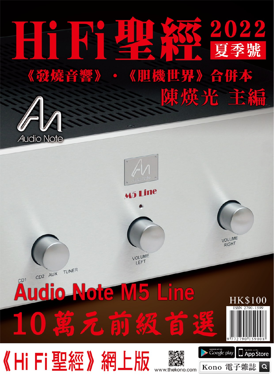